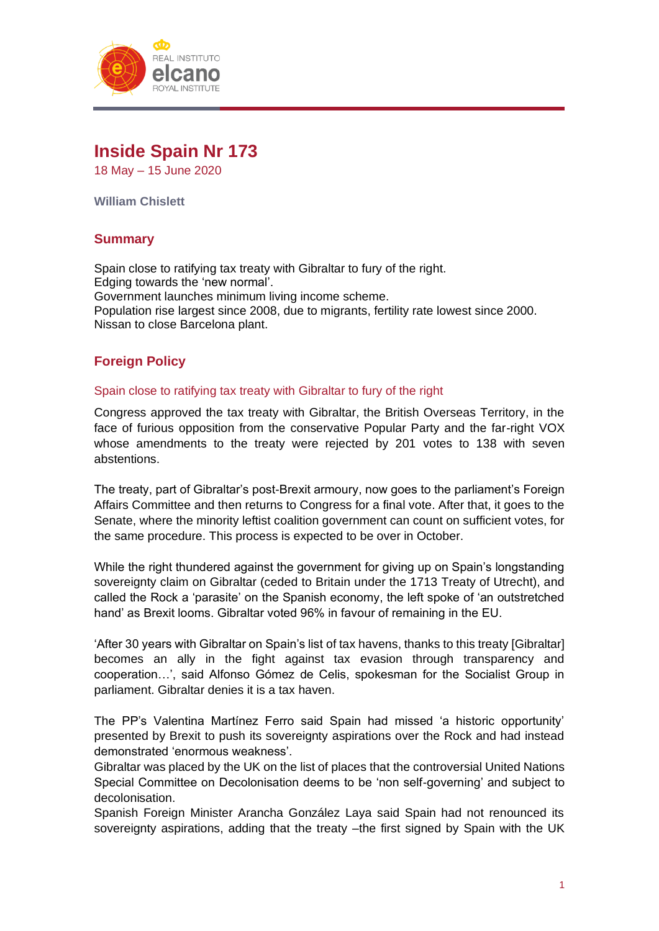

# **Inside Spain Nr 173**

18 May – 15 June 2020

**William Chislett**

# **Summary**

Spain close to ratifying tax treaty with Gibraltar to fury of the right. Edging towards the 'new normal'. Government launches minimum living income scheme. Population rise largest since 2008, due to migrants, fertility rate lowest since 2000. Nissan to close Barcelona plant.

# **Foreign Policy**

#### Spain close to ratifying tax treaty with Gibraltar to fury of the right

Congress approved the tax treaty with Gibraltar, the British Overseas Territory, in the face of furious opposition from the conservative Popular Party and the far-right VOX whose amendments to the treaty were rejected by 201 votes to 138 with seven abstentions.

The treaty, part of Gibraltar's post-Brexit armoury, now goes to the parliament's Foreign Affairs Committee and then returns to Congress for a final vote. After that, it goes to the Senate, where the minority leftist coalition government can count on sufficient votes, for the same procedure. This process is expected to be over in October.

While the right thundered against the government for giving up on Spain's longstanding sovereignty claim on Gibraltar (ceded to Britain under the 1713 Treaty of Utrecht), and called the Rock a 'parasite' on the Spanish economy, the left spoke of 'an outstretched hand' as Brexit looms. Gibraltar voted 96% in favour of remaining in the EU.

'After 30 years with Gibraltar on Spain's list of tax havens, thanks to this treaty [Gibraltar] becomes an ally in the fight against tax evasion through transparency and cooperation…', said Alfonso Gómez de Celis, spokesman for the Socialist Group in parliament. Gibraltar denies it is a tax haven.

The PP's Valentina Martínez Ferro said Spain had missed 'a historic opportunity' presented by Brexit to push its sovereignty aspirations over the Rock and had instead demonstrated 'enormous weakness'.

Gibraltar was placed by the UK on the list of places that the controversial United Nations Special Committee on Decolonisation deems to be 'non self-governing' and subject to decolonisation.

Spanish Foreign Minister Arancha González Laya said Spain had not renounced its sovereignty aspirations, adding that the treaty –the first signed by Spain with the UK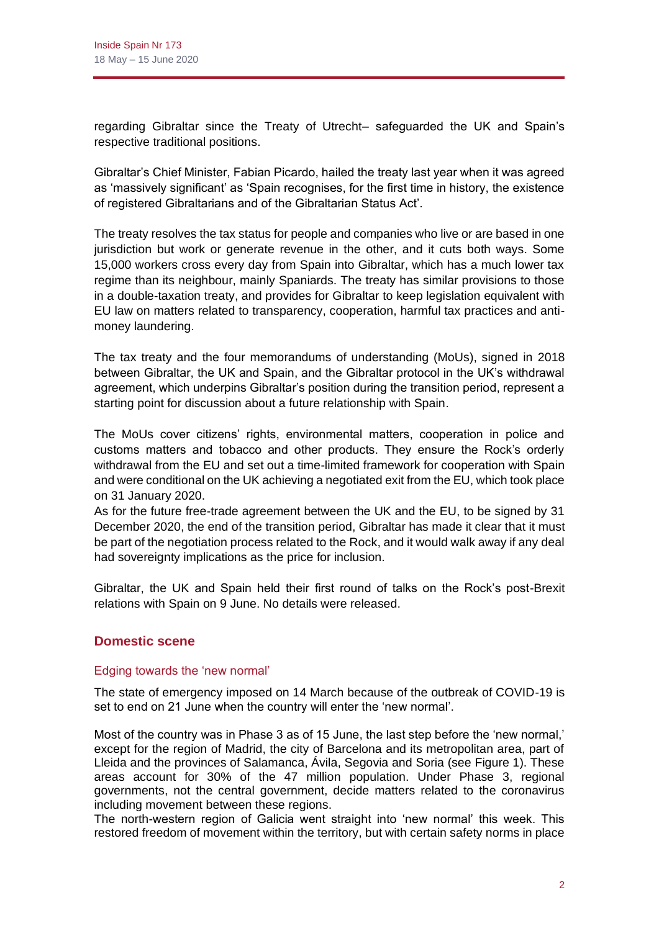regarding Gibraltar since the Treaty of Utrecht– safeguarded the UK and Spain's respective traditional positions.

Gibraltar's Chief Minister, Fabian Picardo, hailed the treaty last year when it was agreed as 'massively significant' as 'Spain recognises, for the first time in history, the existence of registered Gibraltarians and of the Gibraltarian Status Act'.

The treaty resolves the tax status for people and companies who live or are based in one jurisdiction but work or generate revenue in the other, and it cuts both ways. Some 15,000 workers cross every day from Spain into Gibraltar, which has a much lower tax regime than its neighbour, mainly Spaniards. The treaty has similar provisions to those in a double-taxation treaty, and provides for Gibraltar to keep legislation equivalent with EU law on matters related to transparency, cooperation, harmful tax practices and antimoney laundering.

The tax treaty and the four memorandums of understanding (MoUs), signed in 2018 between Gibraltar, the UK and Spain, and the Gibraltar protocol in the UK's withdrawal agreement, which underpins Gibraltar's position during the transition period, represent a starting point for discussion about a future relationship with Spain.

The MoUs cover citizens' rights, environmental matters, cooperation in police and customs matters and tobacco and other products. They ensure the Rock's orderly withdrawal from the EU and set out a time-limited framework for cooperation with Spain and were conditional on the UK achieving a negotiated exit from the EU, which took place on 31 January 2020.

As for the future free-trade agreement between the UK and the EU, to be signed by 31 December 2020, the end of the transition period, Gibraltar has made it clear that it must be part of the negotiation process related to the Rock, and it would walk away if any deal had sovereignty implications as the price for inclusion.

Gibraltar, the UK and Spain held their first round of talks on the Rock's post-Brexit relations with Spain on 9 June. No details were released.

# **Domestic scene**

## Edging towards the 'new normal'

The state of emergency imposed on 14 March because of the outbreak of COVID-19 is set to end on 21 June when the country will enter the 'new normal'.

Most of the country was in Phase 3 as of 15 June, the last step before the 'new normal,' except for the region of Madrid, the city of Barcelona and its metropolitan area, part of Lleida and the provinces of Salamanca, Ávila, Segovia and Soria (see Figure 1). These areas account for 30% of the 47 million population. Under Phase 3, regional governments, not the central government, decide matters related to the coronavirus including movement between these regions.

The north-western region of Galicia went straight into 'new normal' this week. This restored freedom of movement within the territory, but with certain safety norms in place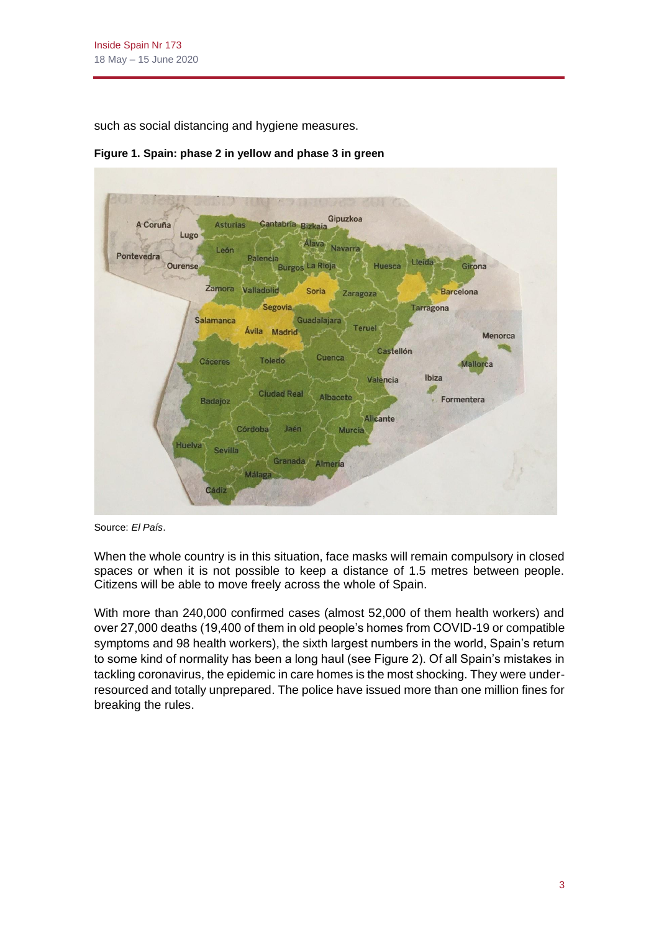such as social distancing and hygiene measures.



**Figure 1. Spain: phase 2 in yellow and phase 3 in green**

Source: *El País*.

When the whole country is in this situation, face masks will remain compulsory in closed spaces or when it is not possible to keep a distance of 1.5 metres between people. Citizens will be able to move freely across the whole of Spain.

With more than 240,000 confirmed cases (almost 52,000 of them health workers) and over 27,000 deaths (19,400 of them in old people's homes from COVID-19 or compatible symptoms and 98 health workers), the sixth largest numbers in the world, Spain's return to some kind of normality has been a long haul (see Figure 2). Of all Spain's mistakes in tackling coronavirus, the epidemic in care homes is the most shocking. They were underresourced and totally unprepared. The police have issued more than one million fines for breaking the rules.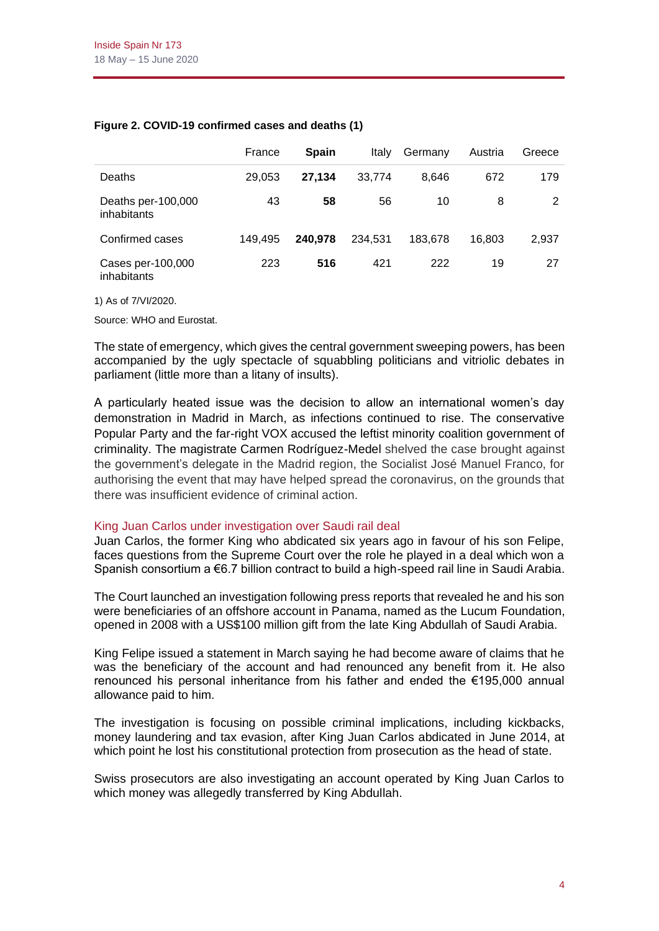|                                   | France  | <b>Spain</b> | Italy   | Germany | Austria | Greece |
|-----------------------------------|---------|--------------|---------|---------|---------|--------|
| <b>Deaths</b>                     | 29.053  | 27.134       | 33.774  | 8.646   | 672     | 179    |
| Deaths per-100,000<br>inhabitants | 43      | 58           | 56      | 10      | 8       | 2      |
| Confirmed cases                   | 149.495 | 240.978      | 234.531 | 183.678 | 16.803  | 2,937  |
| Cases per-100,000<br>inhabitants  | 223     | 516          | 421     | 222     | 19      | 27     |

#### **Figure 2. COVID-19 confirmed cases and deaths (1)**

1) As of 7/VI/2020.

Source: WHO and Eurostat.

The state of emergency, which gives the central government sweeping powers, has been accompanied by the ugly spectacle of squabbling politicians and vitriolic debates in parliament (little more than a litany of insults).

A particularly heated issue was the decision to allow an international women's day demonstration in Madrid in March, as infections continued to rise. The conservative Popular Party and the far-right VOX accused the leftist minority coalition government of criminality. The magistrate Carmen Rodríguez-Medel shelved the case brought against the government's delegate in the Madrid region, the Socialist José Manuel Franco, for authorising the event that may have helped spread the coronavirus, on the grounds that there was insufficient evidence of criminal action.

#### King Juan Carlos under investigation over Saudi rail deal

Juan Carlos, the former King who abdicated six years ago in favour of his son Felipe, faces questions from the Supreme Court over the role he played in a deal which won a Spanish consortium a €6.7 billion contract to build a high-speed rail line in Saudi Arabia.

The Court launched an investigation following press reports that revealed he and his son were beneficiaries of an offshore account in Panama, named as the Lucum Foundation, opened in 2008 with a US\$100 million gift from the late King Abdullah of Saudi Arabia.

King Felipe issued a statement in March saying he had become aware of claims that he was the beneficiary of the account and had renounced any benefit from it. He also renounced his personal inheritance from his father and ended the €195,000 annual allowance paid to him.

The investigation is focusing on possible criminal implications, including kickbacks, money laundering and tax evasion, after King Juan Carlos abdicated in June 2014, at which point he lost his constitutional protection from prosecution as the head of state.

Swiss prosecutors are also investigating an account operated by King Juan Carlos to which money was allegedly transferred by King Abdullah.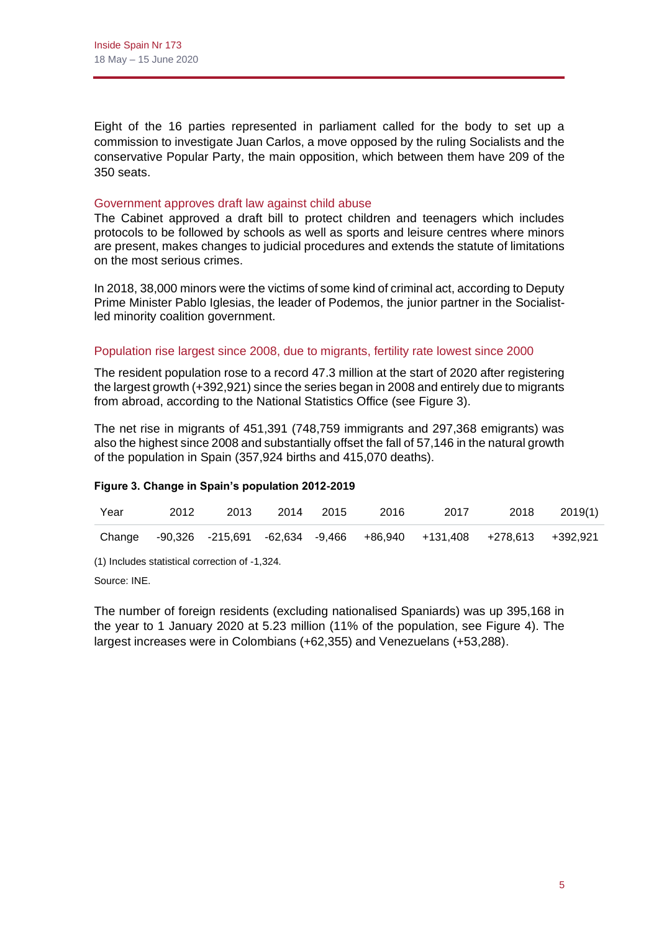Eight of the 16 parties represented in parliament called for the body to set up a commission to investigate Juan Carlos, a move opposed by the ruling Socialists and the conservative Popular Party, the main opposition, which between them have 209 of the 350 seats.

#### Government approves draft law against child abuse

The Cabinet approved a draft bill to protect children and teenagers which includes protocols to be followed by schools as well as sports and leisure centres where minors are present, makes changes to judicial procedures and extends the statute of limitations on the most serious crimes.

In 2018, 38,000 minors were the victims of some kind of criminal act, according to Deputy Prime Minister Pablo Iglesias, the leader of Podemos, the junior partner in the Socialistled minority coalition government.

#### Population rise largest since 2008, due to migrants, fertility rate lowest since 2000

The resident population rose to a record 47.3 million at the start of 2020 after registering the largest growth (+392,921) since the series began in 2008 and entirely due to migrants from abroad, according to the National Statistics Office (see Figure 3).

The net rise in migrants of 451,391 (748,759 immigrants and 297,368 emigrants) was also the highest since 2008 and substantially offset the fall of 57,146 in the natural growth of the population in Spain (357,924 births and 415,070 deaths).

#### **Figure 3. Change in Spain's population 2012-2019**

| Year | 2012 | 2013 2014 2015 | 2016 | 2017                                                                      | 2018 2019(1) |
|------|------|----------------|------|---------------------------------------------------------------------------|--------------|
|      |      |                |      | Change -90,326 -215,691 -62,634 -9,466 +86,940 +131,408 +278,613 +392,921 |              |

(1) Includes statistical correction of -1,324.

Source: INE.

The number of foreign residents (excluding nationalised Spaniards) was up 395,168 in the year to 1 January 2020 at 5.23 million (11% of the population, see Figure 4). The largest increases were in Colombians (+62,355) and Venezuelans (+53,288).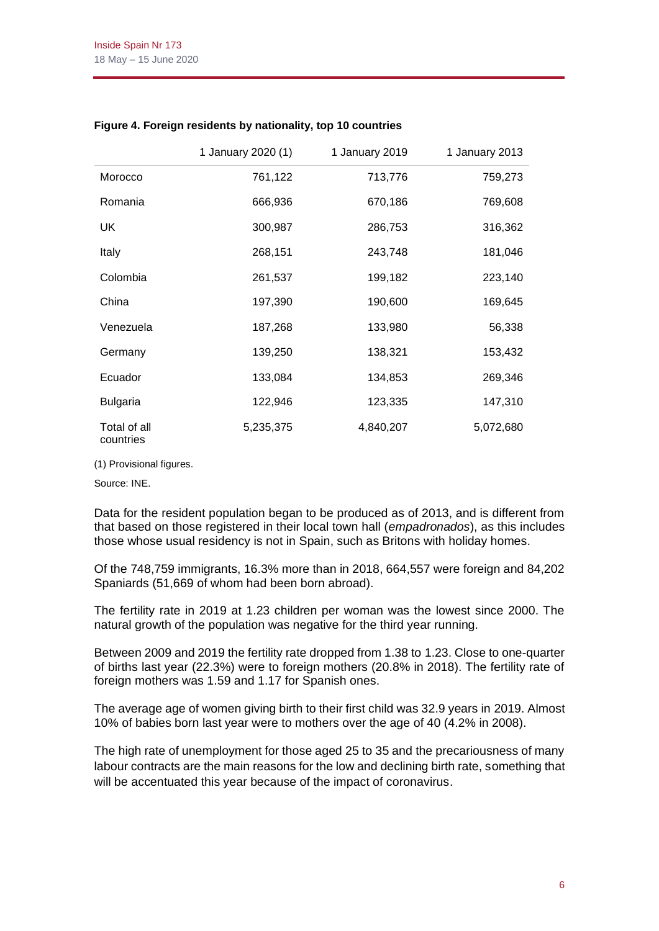|                           | 1 January 2020 (1) | 1 January 2019 | 1 January 2013 |
|---------------------------|--------------------|----------------|----------------|
| Morocco                   | 761,122            | 713,776        | 759,273        |
| Romania                   | 666,936            | 670,186        | 769,608        |
| <b>UK</b>                 | 300,987            | 286,753        | 316,362        |
| Italy                     | 268,151            | 243,748        | 181,046        |
| Colombia                  | 261,537            | 199,182        | 223,140        |
| China                     | 197,390            | 190,600        | 169,645        |
| Venezuela                 | 187,268            | 133,980        | 56,338         |
| Germany                   | 139,250            | 138,321        | 153,432        |
| Ecuador                   | 133,084            | 134,853        | 269,346        |
| <b>Bulgaria</b>           | 122,946            | 123,335        | 147,310        |
| Total of all<br>countries | 5,235,375          | 4,840,207      | 5,072,680      |

#### **Figure 4. Foreign residents by nationality, top 10 countries**

(1) Provisional figures.

Source: INE.

Data for the resident population began to be produced as of 2013, and is different from that based on those registered in their local town hall (*empadronados*), as this includes those whose usual residency is not in Spain, such as Britons with holiday homes.

Of the 748,759 immigrants, 16.3% more than in 2018, 664,557 were foreign and 84,202 Spaniards (51,669 of whom had been born abroad).

The fertility rate in 2019 at 1.23 children per woman was the lowest since 2000. The natural growth of the population was negative for the third year running.

Between 2009 and 2019 the fertility rate dropped from 1.38 to 1.23. Close to one-quarter of births last year (22.3%) were to foreign mothers (20.8% in 2018). The fertility rate of foreign mothers was 1.59 and 1.17 for Spanish ones.

The average age of women giving birth to their first child was 32.9 years in 2019. Almost 10% of babies born last year were to mothers over the age of 40 (4.2% in 2008).

The high rate of unemployment for those aged 25 to 35 and the precariousness of many labour contracts are the main reasons for the low and declining birth rate, something that will be accentuated this year because of the impact of coronavirus.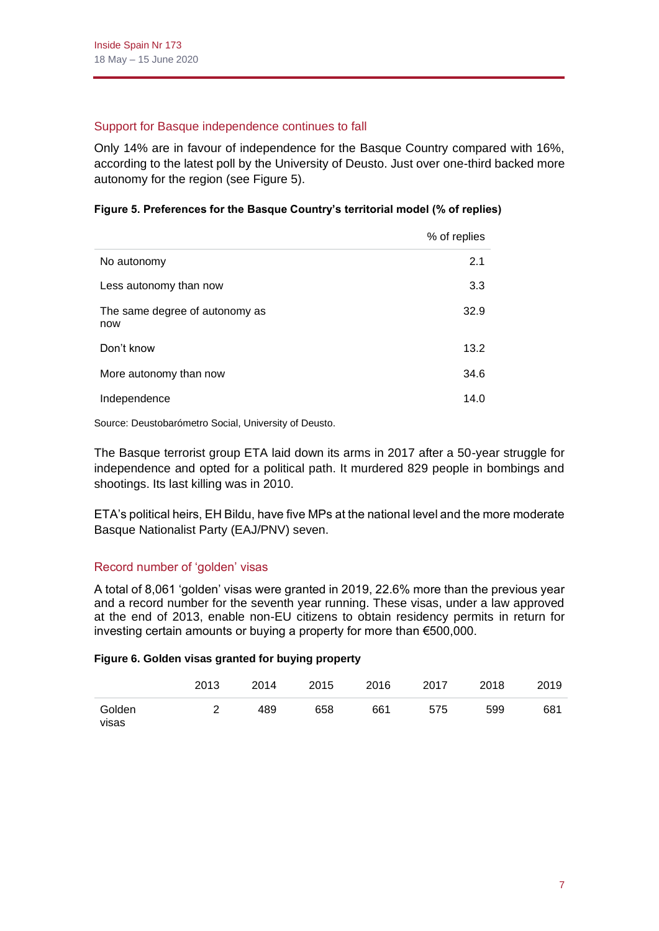# Support for Basque independence continues to fall

Only 14% are in favour of independence for the Basque Country compared with 16%, according to the latest poll by the University of Deusto. Just over one-third backed more autonomy for the region (see Figure 5).

## **Figure 5. Preferences for the Basque Country's territorial model (% of replies)**

|                                       | % of replies |
|---------------------------------------|--------------|
| No autonomy                           | 2.1          |
| Less autonomy than now                | 3.3          |
| The same degree of autonomy as<br>now | 32.9         |
| Don't know                            | 13.2         |
| More autonomy than now                | 34.6         |
| Independence                          | 14.0         |

Source: Deustobarómetro Social, University of Deusto.

The Basque terrorist group ETA laid down its arms in 2017 after a 50-year struggle for independence and opted for a political path. It murdered 829 people in bombings and shootings. Its last killing was in 2010.

ETA's political heirs, EH Bildu, have five MPs at the national level and the more moderate Basque Nationalist Party (EAJ/PNV) seven.

## Record number of 'golden' visas

A total of 8,061 'golden' visas were granted in 2019, 22.6% more than the previous year and a record number for the seventh year running. These visas, under a law approved at the end of 2013, enable non-EU citizens to obtain residency permits in return for investing certain amounts or buying a property for more than €500,000.

#### **Figure 6. Golden visas granted for buying property**

|                 | 2013 | 2014 | 2015 | 2016 | 2017 | 2018 | 2019 |
|-----------------|------|------|------|------|------|------|------|
| Golden<br>visas |      | 489  | 658  | 661  | 575  | 599  | 681  |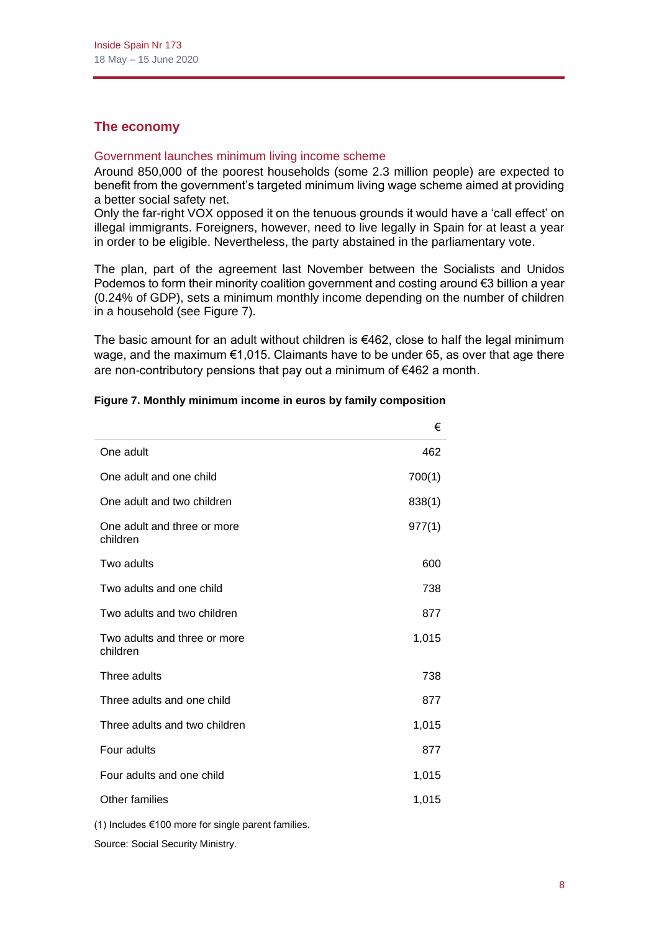# **The economy**

#### Government launches minimum living income scheme

Around 850,000 of the poorest households (some 2.3 million people) are expected to benefit from the government's targeted minimum living wage scheme aimed at providing a better social safety net.

Only the far-right VOX opposed it on the tenuous grounds it would have a 'call effect' on illegal immigrants. Foreigners, however, need to live legally in Spain for at least a year in order to be eligible. Nevertheless, the party abstained in the parliamentary vote.

The plan, part of the agreement last November between the Socialists and Unidos Podemos to form their minority coalition government and costing around €3 billion a year (0.24% of GDP), sets a minimum monthly income depending on the number of children in a household (see Figure 7).

The basic amount for an adult without children is  $€462$ , close to half the legal minimum wage, and the maximum €1,015. Claimants have to be under 65, as over that age there are non-contributory pensions that pay out a minimum of €462 a month.

|                                          | €      |
|------------------------------------------|--------|
| One adult                                | 462    |
| One adult and one child                  | 700(1) |
| One adult and two children               | 838(1) |
| One adult and three or more<br>children  | 977(1) |
| Two adults                               | 600    |
| Two adults and one child                 | 738    |
| Two adults and two children              | 877    |
| Two adults and three or more<br>children | 1,015  |
| Three adults                             | 738    |
| Three adults and one child               | 877    |
| Three adults and two children            | 1,015  |
| Four adults                              | 877    |
| Four adults and one child                | 1,015  |
| Other families                           | 1,015  |
|                                          |        |

#### **Figure 7. Monthly minimum income in euros by family composition**

(1) Includes €100 more for single parent families.

Source: Social Security Ministry.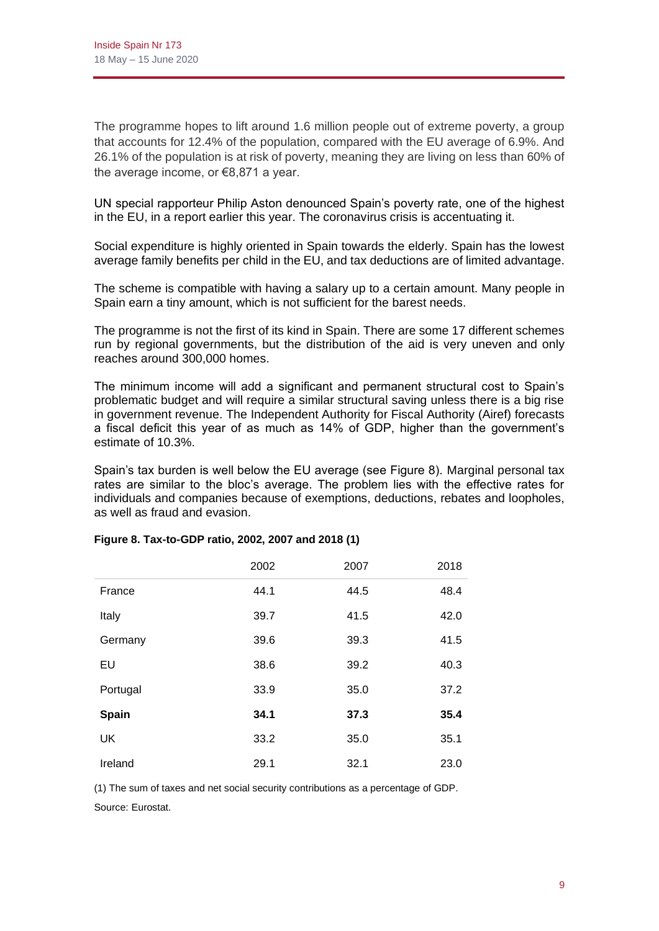The programme hopes to lift around 1.6 million people out of extreme poverty, a group that accounts for 12.4% of the population, compared with the EU average of 6.9%. And 26.1% of the population is at risk of poverty, meaning they are living on less than 60% of the average income, or €8,871 a year.

UN special rapporteur Philip Aston denounced Spain's poverty rate, one of the highest in the EU, in a report earlier this year. The coronavirus crisis is accentuating it.

Social expenditure is highly oriented in Spain towards the elderly. Spain has the lowest average family benefits per child in the EU, and tax deductions are of limited advantage.

The scheme is compatible with having a salary up to a certain amount. Many people in Spain earn a tiny amount, which is not sufficient for the barest needs.

The programme is not the first of its kind in Spain. There are some 17 different schemes run by regional governments, but the distribution of the aid is very uneven and only reaches around 300,000 homes.

The minimum income will add a significant and permanent structural cost to Spain's problematic budget and will require a similar structural saving unless there is a big rise in government revenue. The Independent Authority for Fiscal Authority (Airef) forecasts a fiscal deficit this year of as much as 14% of GDP, higher than the government's estimate of 10.3%.

Spain's tax burden is well below the EU average (see Figure 8). Marginal personal tax rates are similar to the bloc's average. The problem lies with the effective rates for individuals and companies because of exemptions, deductions, rebates and loopholes, as well as fraud and evasion.

|           | 2002 | 2007 | 2018 |
|-----------|------|------|------|
| France    | 44.1 | 44.5 | 48.4 |
| Italy     | 39.7 | 41.5 | 42.0 |
| Germany   | 39.6 | 39.3 | 41.5 |
| EU        | 38.6 | 39.2 | 40.3 |
| Portugal  | 33.9 | 35.0 | 37.2 |
| Spain     | 34.1 | 37.3 | 35.4 |
| <b>UK</b> | 33.2 | 35.0 | 35.1 |
| Ireland   | 29.1 | 32.1 | 23.0 |

#### **Figure 8. Tax-to-GDP ratio, 2002, 2007 and 2018 (1)**

(1) The sum of taxes and net social security contributions as a percentage of GDP.

Source: Eurostat.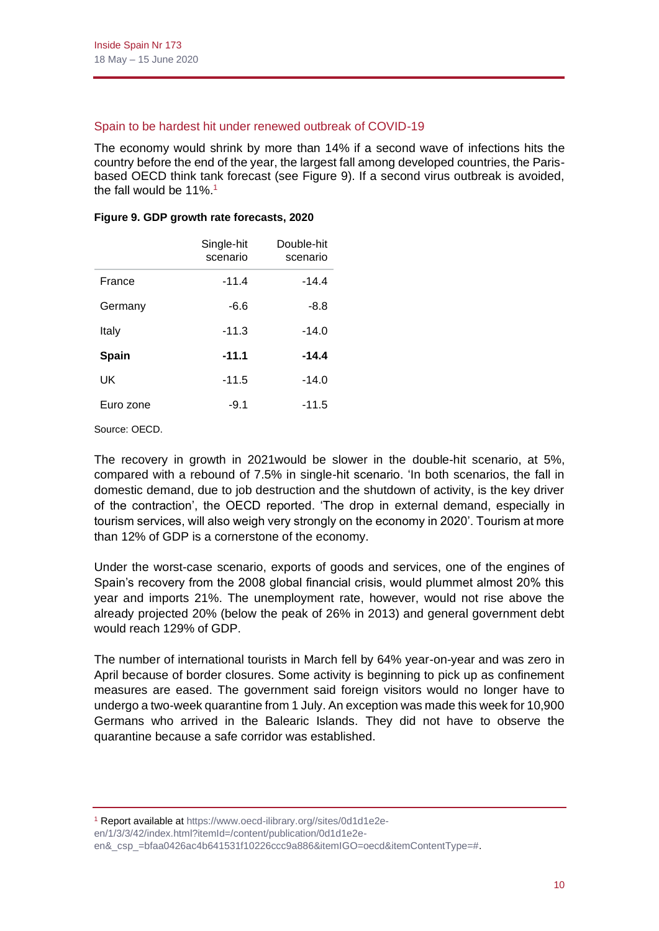#### Spain to be hardest hit under renewed outbreak of COVID-19

The economy would shrink by more than 14% if a second wave of infections hits the country before the end of the year, the largest fall among developed countries, the Parisbased OECD think tank forecast (see Figure 9). If a second virus outbreak is avoided, the fall would be  $11\%$ <sup>1</sup>

|              | Single-hit<br>scenario | Double-hit<br>scenario |
|--------------|------------------------|------------------------|
| France       | $-11.4$                | $-14.4$                |
| Germany      | $-6.6$                 | -8.8                   |
| Italy        | $-11.3$                | $-14.0$                |
| <b>Spain</b> | $-11.1$                | $-14.4$                |
| UK           | $-11.5$                | $-14.0$                |
| Euro zone    | $-9.1$                 | $-11.5$                |

#### **Figure 9. GDP growth rate forecasts, 2020**

Source: OECD.

The recovery in growth in 2021would be slower in the double-hit scenario, at 5%, compared with a rebound of 7.5% in single-hit scenario. 'In both scenarios, the fall in domestic demand, due to job destruction and the shutdown of activity, is the key driver of the contraction', the OECD reported. 'The drop in external demand, especially in tourism services, will also weigh very strongly on the economy in 2020'. Tourism at more than 12% of GDP is a cornerstone of the economy.

Under the worst-case scenario, exports of goods and services, one of the engines of Spain's recovery from the 2008 global financial crisis, would plummet almost 20% this year and imports 21%. The unemployment rate, however, would not rise above the already projected 20% (below the peak of 26% in 2013) and general government debt would reach 129% of GDP.

The number of international tourists in March fell by 64% year-on-year and was zero in April because of border closures. Some activity is beginning to pick up as confinement measures are eased. The government said foreign visitors would no longer have to undergo a two-week quarantine from 1 July. An exception was made this week for 10,900 Germans who arrived in the Balearic Islands. They did not have to observe the quarantine because a safe corridor was established.

<sup>1</sup> Report available a[t https://www.oecd-ilibrary.org//sites/0d1d1e2e-](https://www.oecd-ilibrary.org/sites/0d1d1e2e-en/1/3/3/42/index.html?itemId=/content/publication/0d1d1e2e-en&_csp_=bfaa0426ac4b641531f10226ccc9a886&itemIGO=oecd&itemContentType=)

[en/1/3/3/42/index.html?itemId=/content/publication/0d1d1e2e-](https://www.oecd-ilibrary.org/sites/0d1d1e2e-en/1/3/3/42/index.html?itemId=/content/publication/0d1d1e2e-en&_csp_=bfaa0426ac4b641531f10226ccc9a886&itemIGO=oecd&itemContentType=)

[en&\\_csp\\_=bfaa0426ac4b641531f10226ccc9a886&itemIGO=oecd&itemContentType=#.](https://www.oecd-ilibrary.org/sites/0d1d1e2e-en/1/3/3/42/index.html?itemId=/content/publication/0d1d1e2e-en&_csp_=bfaa0426ac4b641531f10226ccc9a886&itemIGO=oecd&itemContentType=)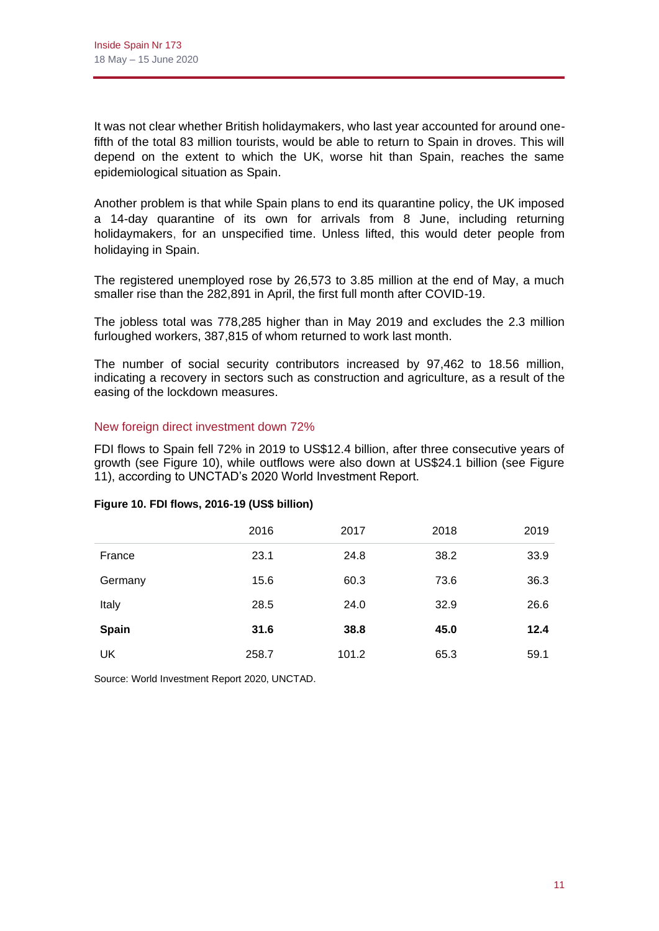It was not clear whether British holidaymakers, who last year accounted for around onefifth of the total 83 million tourists, would be able to return to Spain in droves. This will depend on the extent to which the UK, worse hit than Spain, reaches the same epidemiological situation as Spain.

Another problem is that while Spain plans to end its quarantine policy, the UK imposed a 14-day quarantine of its own for arrivals from 8 June, including returning holidaymakers, for an unspecified time. Unless lifted, this would deter people from holidaying in Spain.

The registered unemployed rose by 26,573 to 3.85 million at the end of May, a much smaller rise than the 282,891 in April, the first full month after COVID-19.

The jobless total was 778,285 higher than in May 2019 and excludes the 2.3 million furloughed workers, 387,815 of whom returned to work last month.

The number of social security contributors increased by 97,462 to 18.56 million, indicating a recovery in sectors such as construction and agriculture, as a result of the easing of the lockdown measures.

#### New foreign direct investment down 72%

FDI flows to Spain fell 72% in 2019 to US\$12.4 billion, after three consecutive years of growth (see Figure 10), while outflows were also down at US\$24.1 billion (see Figure 11), according to UNCTAD's 2020 World Investment Report.

|         | 2016  | 2017  | 2018 | 2019 |
|---------|-------|-------|------|------|
| France  | 23.1  | 24.8  | 38.2 | 33.9 |
| Germany | 15.6  | 60.3  | 73.6 | 36.3 |
| Italy   | 28.5  | 24.0  | 32.9 | 26.6 |
| Spain   | 31.6  | 38.8  | 45.0 | 12.4 |
| UK      | 258.7 | 101.2 | 65.3 | 59.1 |

#### **Figure 10. FDI flows, 2016-19 (US\$ billion)**

Source: World Investment Report 2020, UNCTAD.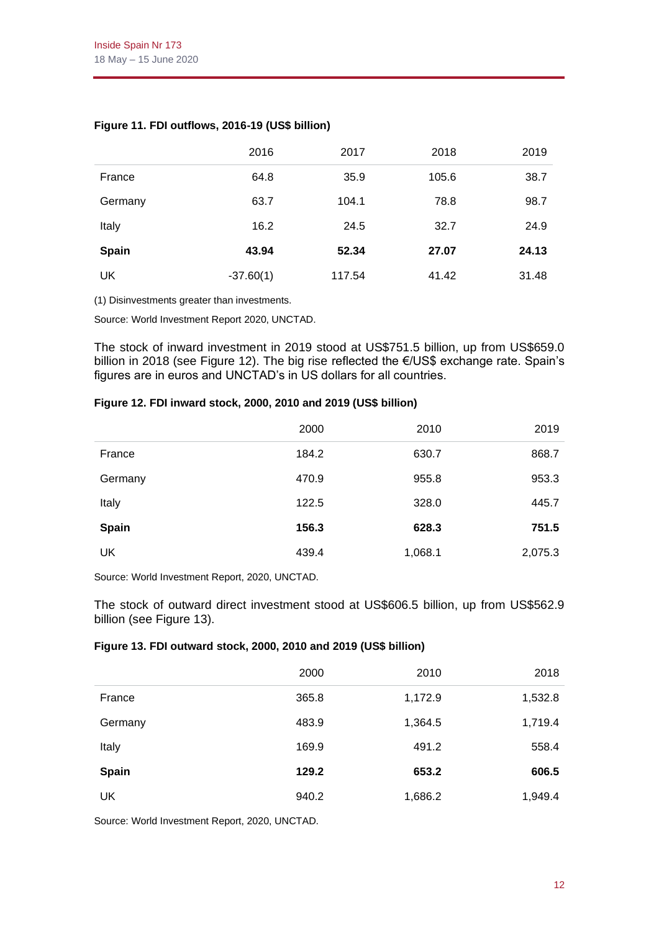|              | 2016        | 2017   | 2018  | 2019  |
|--------------|-------------|--------|-------|-------|
| France       | 64.8        | 35.9   | 105.6 | 38.7  |
| Germany      | 63.7        | 104.1  | 78.8  | 98.7  |
| Italy        | 16.2        | 24.5   | 32.7  | 24.9  |
| <b>Spain</b> | 43.94       | 52.34  | 27.07 | 24.13 |
| UK           | $-37.60(1)$ | 117.54 | 41.42 | 31.48 |

# **Figure 11. FDI outflows, 2016-19 (US\$ billion)**

(1) Disinvestments greater than investments.

Source: World Investment Report 2020, UNCTAD.

The stock of inward investment in 2019 stood at US\$751.5 billion, up from US\$659.0 billion in 2018 (see Figure 12). The big rise reflected the €/US\$ exchange rate. Spain's figures are in euros and UNCTAD's in US dollars for all countries.

#### **Figure 12. FDI inward stock, 2000, 2010 and 2019 (US\$ billion)**

|              | 2000  | 2010    | 2019    |
|--------------|-------|---------|---------|
| France       | 184.2 | 630.7   | 868.7   |
| Germany      | 470.9 | 955.8   | 953.3   |
| Italy        | 122.5 | 328.0   | 445.7   |
| <b>Spain</b> | 156.3 | 628.3   | 751.5   |
| UK           | 439.4 | 1,068.1 | 2,075.3 |

Source: World Investment Report, 2020, UNCTAD.

The stock of outward direct investment stood at US\$606.5 billion, up from US\$562.9 billion (see Figure 13).

#### **Figure 13. FDI outward stock, 2000, 2010 and 2019 (US\$ billion)**

|              | 2000  | 2010    | 2018    |
|--------------|-------|---------|---------|
| France       | 365.8 | 1,172.9 | 1,532.8 |
| Germany      | 483.9 | 1,364.5 | 1,719.4 |
| Italy        | 169.9 | 491.2   | 558.4   |
| <b>Spain</b> | 129.2 | 653.2   | 606.5   |
| UK           | 940.2 | 1,686.2 | 1,949.4 |

Source: World Investment Report, 2020, UNCTAD.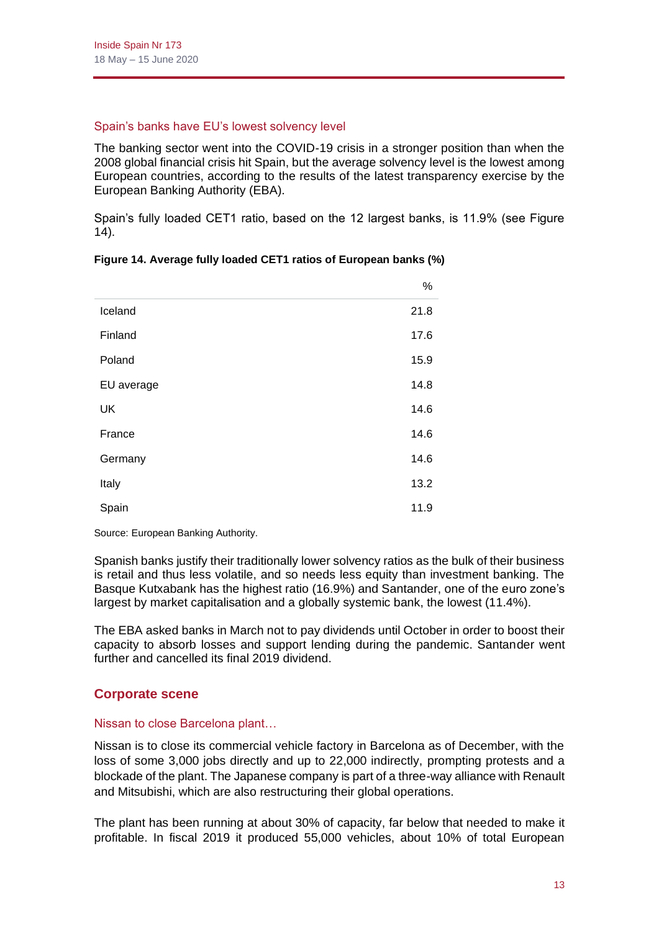## Spain's banks have EU's lowest solvency level

The banking sector went into the COVID-19 crisis in a stronger position than when the 2008 global financial crisis hit Spain, but the average solvency level is the lowest among European countries, according to the results of the latest transparency exercise by the European Banking Authority (EBA).

Spain's fully loaded CET1 ratio, based on the 12 largest banks, is 11.9% (see Figure 14).

|            | $\%$ |
|------------|------|
| Iceland    | 21.8 |
| Finland    | 17.6 |
| Poland     | 15.9 |
| EU average | 14.8 |
| <b>UK</b>  | 14.6 |
| France     | 14.6 |
| Germany    | 14.6 |
| Italy      | 13.2 |
| Spain      | 11.9 |

|  |  | Figure 14. Average fully loaded CET1 ratios of European banks (%) |  |  |  |
|--|--|-------------------------------------------------------------------|--|--|--|
|--|--|-------------------------------------------------------------------|--|--|--|

Source: European Banking Authority.

Spanish banks justify their traditionally lower solvency ratios as the bulk of their business is retail and thus less volatile, and so needs less equity than investment banking. The Basque Kutxabank has the highest ratio (16.9%) and Santander, one of the euro zone's largest by market capitalisation and a globally systemic bank, the lowest (11.4%).

The EBA asked banks in March not to pay dividends until October in order to boost their capacity to absorb losses and support lending during the pandemic. Santander went further and cancelled its final 2019 dividend.

# **Corporate scene**

#### Nissan to close Barcelona plant…

Nissan is to close its commercial vehicle factory in Barcelona as of December, with the loss of some 3,000 jobs directly and up to 22,000 indirectly, prompting protests and a blockade of the plant. The Japanese company is part of a three-way alliance with Renault and Mitsubishi, which are also restructuring their global operations.

The plant has been running at about 30% of capacity, far below that needed to make it profitable. In fiscal 2019 it produced 55,000 vehicles, about 10% of total European